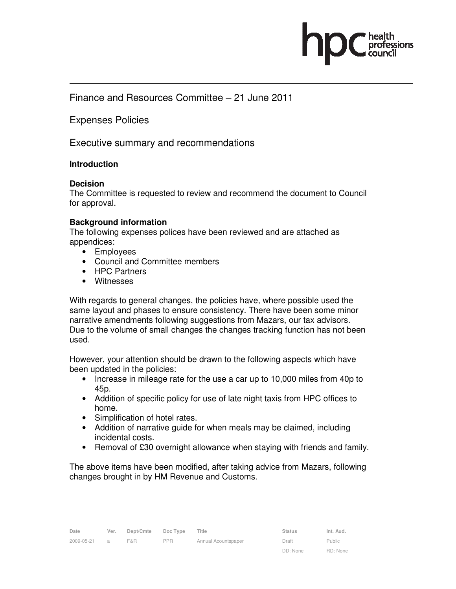

# Finance and Resources Committee – 21 June 2011

Expenses Policies

Executive summary and recommendations

#### **Introduction**

#### **Decision**

The Committee is requested to review and recommend the document to Council for approval.

#### **Background information**

The following expenses polices have been reviewed and are attached as appendices:

- Employees
- Council and Committee members
- HPC Partners
- Witnesses

With regards to general changes, the policies have, where possible used the same layout and phases to ensure consistency. There have been some minor narrative amendments following suggestions from Mazars, our tax advisors. Due to the volume of small changes the changes tracking function has not been used.

However, your attention should be drawn to the following aspects which have been updated in the policies:

- Increase in mileage rate for the use a car up to 10,000 miles from 40p to 45p.
- Addition of specific policy for use of late night taxis from HPC offices to home.
- Simplification of hotel rates.
- Addition of narrative guide for when meals may be claimed, including incidental costs.
- Removal of £30 overnight allowance when staying with friends and family.

The above items have been modified, after taking advice from Mazars, following changes brought in by HM Revenue and Customs.

Public RD: None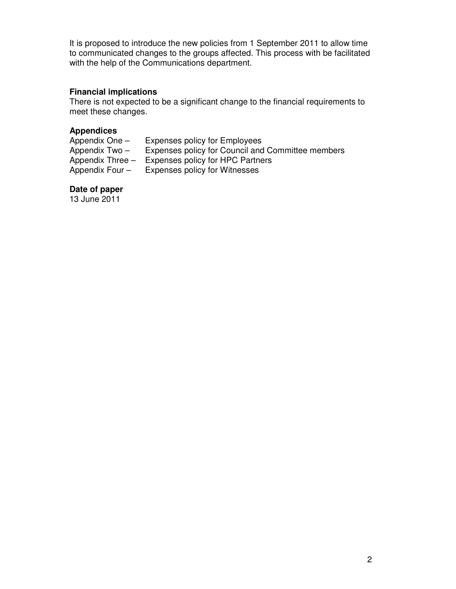It is proposed to introduce the new policies from 1 September 2011 to allow time to communicated changes to the groups affected. This process with be facilitated with the help of the Communications department.

## **Financial implications**

There is not expected to be a significant change to the financial requirements to meet these changes.

## **Appendices**

| Appendix One -     | <b>Expenses policy for Employees</b>              |
|--------------------|---------------------------------------------------|
| Appendix Two -     | Expenses policy for Council and Committee members |
| Appendix Three $-$ | Expenses policy for HPC Partners                  |
| Appendix Four -    | Expenses policy for Witnesses                     |

### **Date of paper**

13 June 2011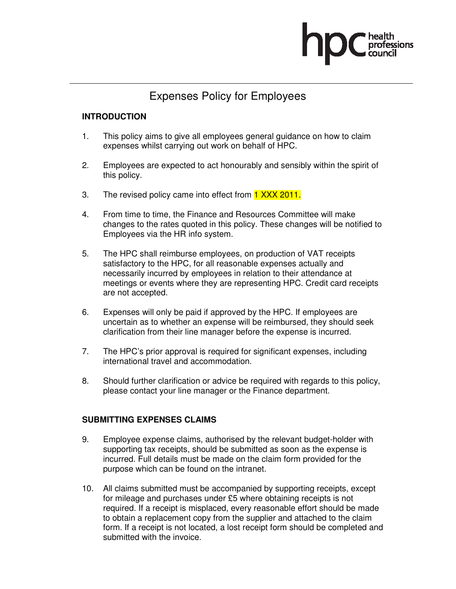

# Expenses Policy for Employees

## **INTRODUCTION**

- 1. This policy aims to give all employees general guidance on how to claim expenses whilst carrying out work on behalf of HPC.
- 2. Employees are expected to act honourably and sensibly within the spirit of this policy.
- 3. The revised policy came into effect from 1 XXX 2011.
- 4. From time to time, the Finance and Resources Committee will make changes to the rates quoted in this policy. These changes will be notified to Employees via the HR info system.
- 5. The HPC shall reimburse employees, on production of VAT receipts satisfactory to the HPC, for all reasonable expenses actually and necessarily incurred by employees in relation to their attendance at meetings or events where they are representing HPC. Credit card receipts are not accepted.
- 6. Expenses will only be paid if approved by the HPC. If employees are uncertain as to whether an expense will be reimbursed, they should seek clarification from their line manager before the expense is incurred.
- 7. The HPC's prior approval is required for significant expenses, including international travel and accommodation.
- 8. Should further clarification or advice be required with regards to this policy, please contact your line manager or the Finance department.

### **SUBMITTING EXPENSES CLAIMS**

- 9. Employee expense claims, authorised by the relevant budget-holder with supporting tax receipts, should be submitted as soon as the expense is incurred. Full details must be made on the claim form provided for the purpose which can be found on the intranet.
- 10. All claims submitted must be accompanied by supporting receipts, except for mileage and purchases under £5 where obtaining receipts is not required. If a receipt is misplaced, every reasonable effort should be made to obtain a replacement copy from the supplier and attached to the claim form. If a receipt is not located, a lost receipt form should be completed and submitted with the invoice.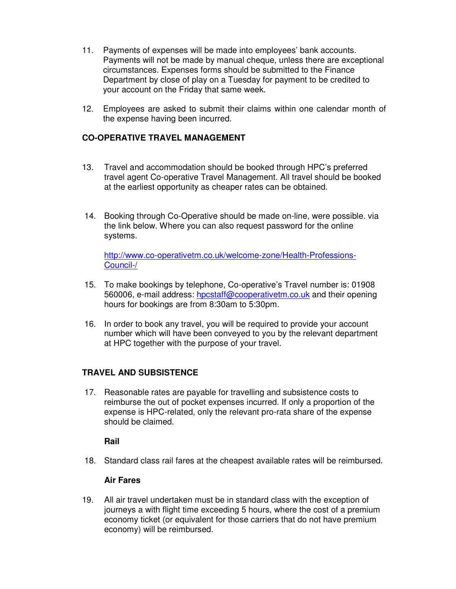- 11. Payments of expenses will be made into employees' bank accounts. Payments will not be made by manual cheque, unless there are exceptional circumstances. Expenses forms should be submitted to the Finance Department by close of play on a Tuesday for payment to be credited to your account on the Friday that same week.
- 12. Employees are asked to submit their claims within one calendar month of the expense having been incurred.

## **CO-OPERATIVE TRAVEL MANAGEMENT**

- 13. Travel and accommodation should be booked through HPC's preferred travel agent Co-operative Travel Management. All travel should be booked at the earliest opportunity as cheaper rates can be obtained.
- 14. Booking through Co-Operative should be made on-line, were possible. via the link below. Where you can also request password for the online systems.

http://www.co-operativetm.co.uk/welcome-zone/Health-Professions-Council-/

- 15. To make bookings by telephone, Co-operative's Travel number is: 01908 560006, e-mail address: hpcstaff@cooperativetm.co.uk and their opening hours for bookings are from 8:30am to 5:30pm.
- 16. In order to book any travel, you will be required to provide your account number which will have been conveyed to you by the relevant department at HPC together with the purpose of your travel.

### **TRAVEL AND SUBSISTENCE**

17. Reasonable rates are payable for travelling and subsistence costs to reimburse the out of pocket expenses incurred. If only a proportion of the expense is HPC-related, only the relevant pro-rata share of the expense should be claimed.

### **Rail**

18. Standard class rail fares at the cheapest available rates will be reimbursed.

### **Air Fares**

19. All air travel undertaken must be in standard class with the exception of journeys a with flight time exceeding 5 hours, where the cost of a premium economy ticket (or equivalent for those carriers that do not have premium economy) will be reimbursed.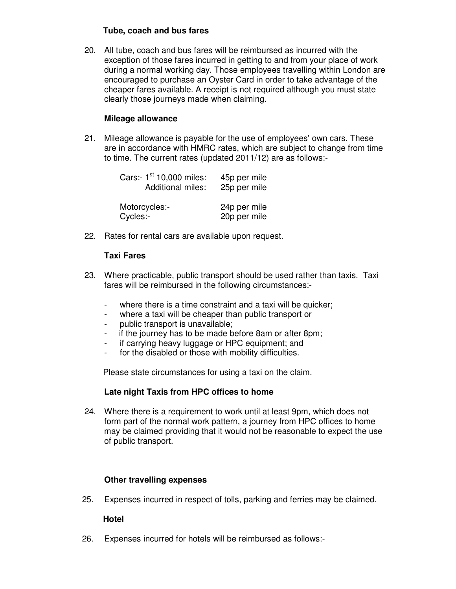## **Tube, coach and bus fares**

20. All tube, coach and bus fares will be reimbursed as incurred with the exception of those fares incurred in getting to and from your place of work during a normal working day. Those employees travelling within London are encouraged to purchase an Oyster Card in order to take advantage of the cheaper fares available. A receipt is not required although you must state clearly those journeys made when claiming.

## **Mileage allowance**

21. Mileage allowance is payable for the use of employees' own cars. These are in accordance with HMRC rates, which are subject to change from time to time. The current rates (updated 2011/12) are as follows:-

| Cars:- 1 <sup>st</sup> 10,000 miles:<br><b>Additional miles:</b> | 45p per mile<br>25p per mile |
|------------------------------------------------------------------|------------------------------|
| Motorcycles:-<br>Cycles:-                                        | 24p per mile<br>20p per mile |

22. Rates for rental cars are available upon request.

# **Taxi Fares**

- 23. Where practicable, public transport should be used rather than taxis. Taxi fares will be reimbursed in the following circumstances:-
	- where there is a time constraint and a taxi will be quicker;
	- where a taxi will be cheaper than public transport or
	- public transport is unavailable;
	- if the journey has to be made before 8am or after 8pm;
	- if carrying heavy luggage or HPC equipment; and
	- for the disabled or those with mobility difficulties.

Please state circumstances for using a taxi on the claim.

### **Late night Taxis from HPC offices to home**

24. Where there is a requirement to work until at least 9pm, which does not form part of the normal work pattern, a journey from HPC offices to home may be claimed providing that it would not be reasonable to expect the use of public transport.

### **Other travelling expenses**

25. Expenses incurred in respect of tolls, parking and ferries may be claimed.

### **Hotel**

26. Expenses incurred for hotels will be reimbursed as follows:-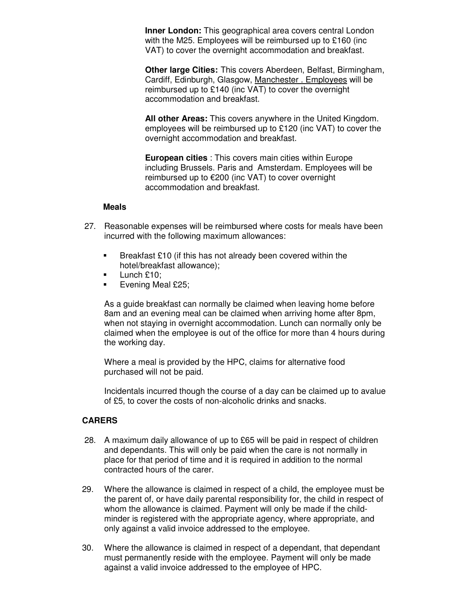**Inner London:** This geographical area covers central London with the M25. Employees will be reimbursed up to £160 (inc. VAT) to cover the overnight accommodation and breakfast.

 **Other large Cities:** This covers Aberdeen, Belfast, Birmingham, Cardiff, Edinburgh, Glasgow, Manchester . Employees will be reimbursed up to £140 (inc VAT) to cover the overnight accommodation and breakfast.

 **All other Areas:** This covers anywhere in the United Kingdom. employees will be reimbursed up to £120 (inc VAT) to cover the overnight accommodation and breakfast.

**European cities** : This covers main cities within Europe including Brussels. Paris and Amsterdam. Employees will be reimbursed up to €200 (inc VAT) to cover overnight accommodation and breakfast.

#### **Meals**

- 27. Reasonable expenses will be reimbursed where costs for meals have been incurred with the following maximum allowances:
	- Breakfast £10 (if this has not already been covered within the hotel/breakfast allowance);
	- $\blacksquare$  Lunch £10;
	- **Evening Meal £25;**

As a guide breakfast can normally be claimed when leaving home before 8am and an evening meal can be claimed when arriving home after 8pm, when not staying in overnight accommodation. Lunch can normally only be claimed when the employee is out of the office for more than 4 hours during the working day.

Where a meal is provided by the HPC, claims for alternative food purchased will not be paid.

Incidentals incurred though the course of a day can be claimed up to avalue of £5, to cover the costs of non-alcoholic drinks and snacks.

### **CARERS**

- 28. A maximum daily allowance of up to £65 will be paid in respect of children and dependants. This will only be paid when the care is not normally in place for that period of time and it is required in addition to the normal contracted hours of the carer.
- 29. Where the allowance is claimed in respect of a child, the employee must be the parent of, or have daily parental responsibility for, the child in respect of whom the allowance is claimed. Payment will only be made if the childminder is registered with the appropriate agency, where appropriate, and only against a valid invoice addressed to the employee.
- 30. Where the allowance is claimed in respect of a dependant, that dependant must permanently reside with the employee. Payment will only be made against a valid invoice addressed to the employee of HPC.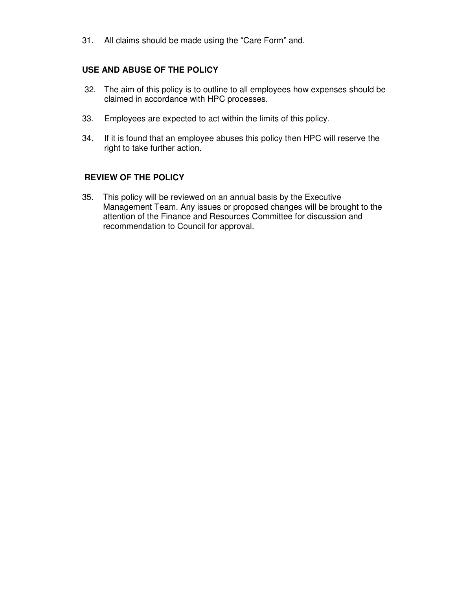31. All claims should be made using the "Care Form" and.

## **USE AND ABUSE OF THE POLICY**

- 32. The aim of this policy is to outline to all employees how expenses should be claimed in accordance with HPC processes.
- 33. Employees are expected to act within the limits of this policy.
- 34. If it is found that an employee abuses this policy then HPC will reserve the right to take further action.

### **REVIEW OF THE POLICY**

35. This policy will be reviewed on an annual basis by the Executive Management Team. Any issues or proposed changes will be brought to the attention of the Finance and Resources Committee for discussion and recommendation to Council for approval.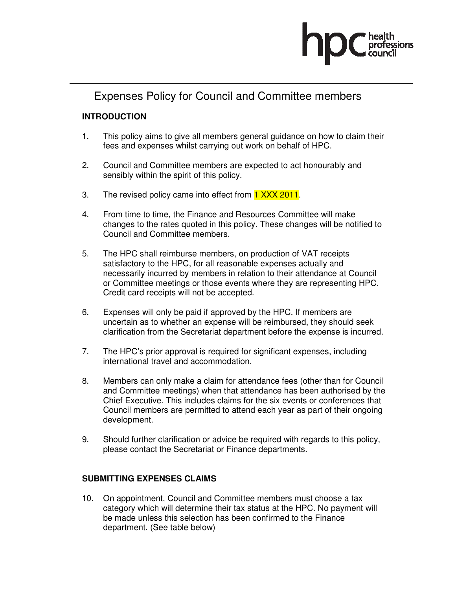

# Expenses Policy for Council and Committee members

# **INTRODUCTION**

- 1. This policy aims to give all members general guidance on how to claim their fees and expenses whilst carrying out work on behalf of HPC.
- 2. Council and Committee members are expected to act honourably and sensibly within the spirit of this policy.
- 3. The revised policy came into effect from 1 XXX 2011.
- 4. From time to time, the Finance and Resources Committee will make changes to the rates quoted in this policy. These changes will be notified to Council and Committee members.
- 5. The HPC shall reimburse members, on production of VAT receipts satisfactory to the HPC, for all reasonable expenses actually and necessarily incurred by members in relation to their attendance at Council or Committee meetings or those events where they are representing HPC. Credit card receipts will not be accepted.
- 6. Expenses will only be paid if approved by the HPC. If members are uncertain as to whether an expense will be reimbursed, they should seek clarification from the Secretariat department before the expense is incurred.
- 7. The HPC's prior approval is required for significant expenses, including international travel and accommodation.
- 8. Members can only make a claim for attendance fees (other than for Council and Committee meetings) when that attendance has been authorised by the Chief Executive. This includes claims for the six events or conferences that Council members are permitted to attend each year as part of their ongoing development.
- 9. Should further clarification or advice be required with regards to this policy, please contact the Secretariat or Finance departments.

# **SUBMITTING EXPENSES CLAIMS**

10. On appointment, Council and Committee members must choose a tax category which will determine their tax status at the HPC. No payment will be made unless this selection has been confirmed to the Finance department. (See table below)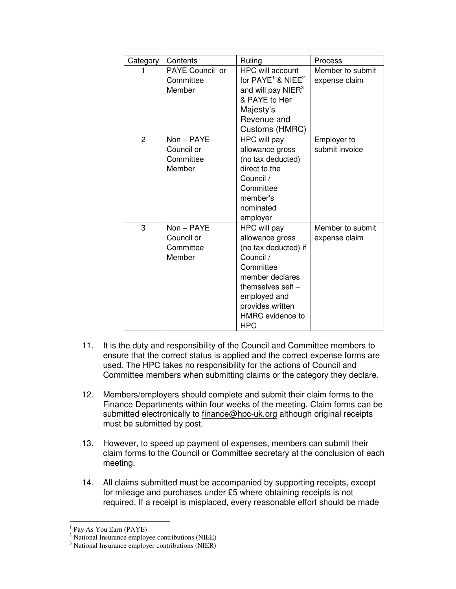| Category       | Contents                                        | Ruling                                                                                                                                                                                            | Process                           |
|----------------|-------------------------------------------------|---------------------------------------------------------------------------------------------------------------------------------------------------------------------------------------------------|-----------------------------------|
|                | PAYE Council or<br>Committee<br>Member          | <b>HPC will account</b><br>for $PAYE1$ & NIEE <sup>2</sup><br>and will pay $NIER3$<br>& PAYE to Her<br>Majesty's<br>Revenue and<br>Customs (HMRC)                                                 | Member to submit<br>expense claim |
| $\overline{2}$ | $Non-PAYE$<br>Council or<br>Committee<br>Member | HPC will pay<br>allowance gross<br>(no tax deducted)<br>direct to the<br>Council /<br>Committee<br>member's<br>nominated<br>employer                                                              | Employer to<br>submit invoice     |
| 3              | $Non-PAYE$<br>Council or<br>Committee<br>Member | HPC will pay<br>allowance gross<br>(no tax deducted) if<br>Council /<br>Committee<br>member declares<br>themselves self $-$<br>employed and<br>provides written<br>HMRC evidence to<br><b>HPC</b> | Member to submit<br>expense claim |

- 11. It is the duty and responsibility of the Council and Committee members to ensure that the correct status is applied and the correct expense forms are used. The HPC takes no responsibility for the actions of Council and Committee members when submitting claims or the category they declare.
- 12. Members/employers should complete and submit their claim forms to the Finance Departments within four weeks of the meeting. Claim forms can be submitted electronically to finance@hpc-uk.org although original receipts must be submitted by post.
- 13. However, to speed up payment of expenses, members can submit their claim forms to the Council or Committee secretary at the conclusion of each meeting.
- 14. All claims submitted must be accompanied by supporting receipts, except for mileage and purchases under £5 where obtaining receipts is not required. If a receipt is misplaced, every reasonable effort should be made

<sup>&</sup>lt;sup>1</sup> Pay As You Earn (PAYE)

<sup>&</sup>lt;sup>2</sup> National Insurance employee contributions (NIEE)

<sup>3</sup> National Insurance employer contributions (NIER)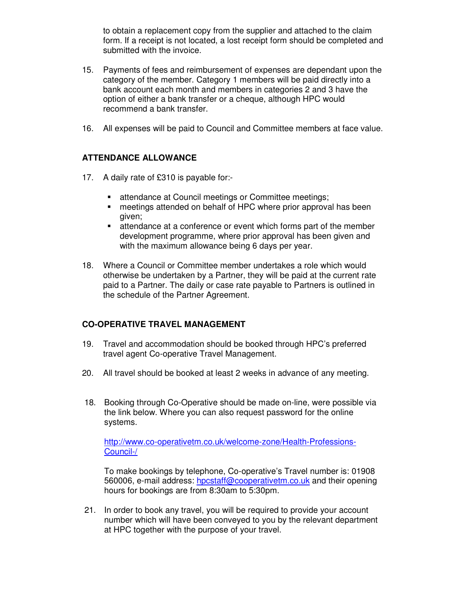to obtain a replacement copy from the supplier and attached to the claim form. If a receipt is not located, a lost receipt form should be completed and submitted with the invoice.

- 15. Payments of fees and reimbursement of expenses are dependant upon the category of the member. Category 1 members will be paid directly into a bank account each month and members in categories 2 and 3 have the option of either a bank transfer or a cheque, although HPC would recommend a bank transfer.
- 16. All expenses will be paid to Council and Committee members at face value.

# **ATTENDANCE ALLOWANCE**

- 17. A daily rate of £310 is payable for:-
	- **EXEC** at the at Council meetings or Committee meetings;
	- meetings attended on behalf of HPC where prior approval has been given;
	- attendance at a conference or event which forms part of the member development programme, where prior approval has been given and with the maximum allowance being 6 days per year.
- 18. Where a Council or Committee member undertakes a role which would otherwise be undertaken by a Partner, they will be paid at the current rate paid to a Partner. The daily or case rate payable to Partners is outlined in the schedule of the Partner Agreement.

# **CO-OPERATIVE TRAVEL MANAGEMENT**

- 19. Travel and accommodation should be booked through HPC's preferred travel agent Co-operative Travel Management.
- 20. All travel should be booked at least 2 weeks in advance of any meeting.
- 18. Booking through Co-Operative should be made on-line, were possible via the link below. Where you can also request password for the online systems.

http://www.co-operativetm.co.uk/welcome-zone/Health-Professions-Council-/

To make bookings by telephone, Co-operative's Travel number is: 01908 560006, e-mail address: hpcstaff@cooperativetm.co.uk and their opening hours for bookings are from 8:30am to 5:30pm.

21. In order to book any travel, you will be required to provide your account number which will have been conveyed to you by the relevant department at HPC together with the purpose of your travel.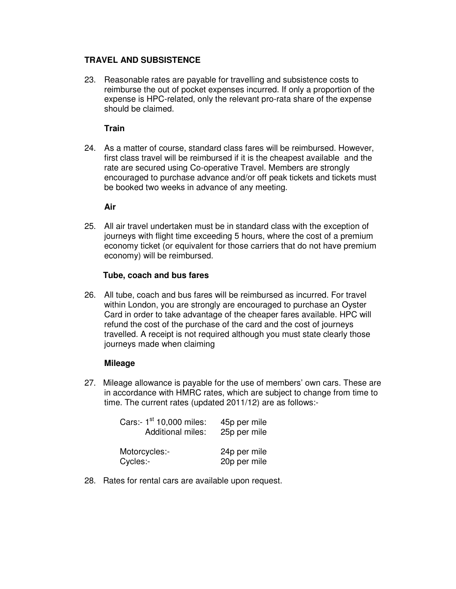## **TRAVEL AND SUBSISTENCE**

23. Reasonable rates are payable for travelling and subsistence costs to reimburse the out of pocket expenses incurred. If only a proportion of the expense is HPC-related, only the relevant pro-rata share of the expense should be claimed.

## **Train**

24. As a matter of course, standard class fares will be reimbursed. However, first class travel will be reimbursed if it is the cheapest available and the rate are secured using Co-operative Travel. Members are strongly encouraged to purchase advance and/or off peak tickets and tickets must be booked two weeks in advance of any meeting.

## **Air**

25. All air travel undertaken must be in standard class with the exception of journeys with flight time exceeding 5 hours, where the cost of a premium economy ticket (or equivalent for those carriers that do not have premium economy) will be reimbursed.

### **Tube, coach and bus fares**

26. All tube, coach and bus fares will be reimbursed as incurred. For travel within London, you are strongly are encouraged to purchase an Oyster Card in order to take advantage of the cheaper fares available. HPC will refund the cost of the purchase of the card and the cost of journeys travelled. A receipt is not required although you must state clearly those journeys made when claiming

### **Mileage**

27. Mileage allowance is payable for the use of members' own cars. These are in accordance with HMRC rates, which are subject to change from time to time. The current rates (updated 2011/12) are as follows:-

| Cars:- 1 <sup>st</sup> 10,000 miles:<br><b>Additional miles:</b> | 45p per mile<br>25p per mile |
|------------------------------------------------------------------|------------------------------|
| Motorcycles:-<br>Cycles:-                                        | 24p per mile<br>20p per mile |

28. Rates for rental cars are available upon request.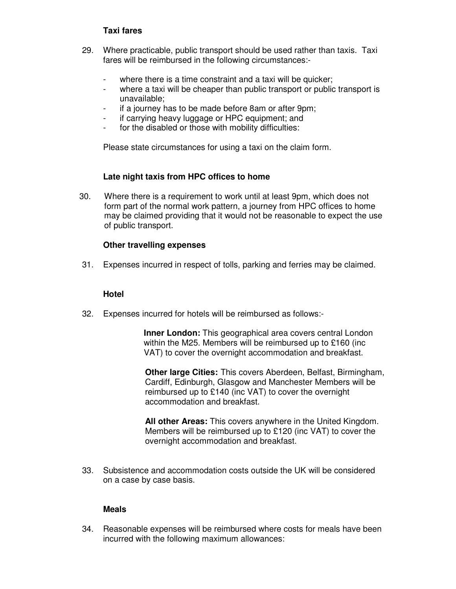## **Taxi fares**

- 29. Where practicable, public transport should be used rather than taxis. Taxi fares will be reimbursed in the following circumstances:-
	- where there is a time constraint and a taxi will be quicker;
	- where a taxi will be cheaper than public transport or public transport is unavailable;
	- if a journey has to be made before 8am or after 9pm;
	- if carrying heavy luggage or HPC equipment; and
	- for the disabled or those with mobility difficulties:

Please state circumstances for using a taxi on the claim form.

### **Late night taxis from HPC offices to home**

30. Where there is a requirement to work until at least 9pm, which does not form part of the normal work pattern, a journey from HPC offices to home may be claimed providing that it would not be reasonable to expect the use of public transport.

### **Other travelling expenses**

31. Expenses incurred in respect of tolls, parking and ferries may be claimed.

#### **Hotel**

32. Expenses incurred for hotels will be reimbursed as follows:-

**Inner London:** This geographical area covers central London within the M25. Members will be reimbursed up to £160 (inc VAT) to cover the overnight accommodation and breakfast.

**Other large Cities:** This covers Aberdeen, Belfast, Birmingham, Cardiff, Edinburgh, Glasgow and Manchester Members will be reimbursed up to £140 (inc VAT) to cover the overnight accommodation and breakfast.

**All other Areas:** This covers anywhere in the United Kingdom. Members will be reimbursed up to £120 (inc VAT) to cover the overnight accommodation and breakfast.

33. Subsistence and accommodation costs outside the UK will be considered on a case by case basis.

#### **Meals**

34. Reasonable expenses will be reimbursed where costs for meals have been incurred with the following maximum allowances: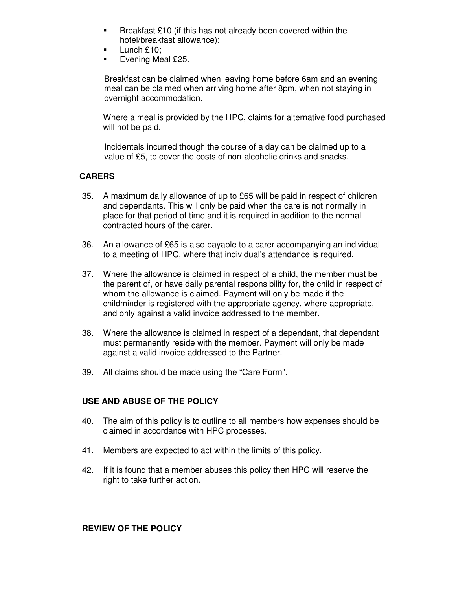- **Breakfast £10 (if this has not already been covered within the** hotel/breakfast allowance);
- $\blacksquare$  Lunch £10;
- $\blacksquare$  Evening Meal £25.

Breakfast can be claimed when leaving home before 6am and an evening meal can be claimed when arriving home after 8pm, when not staying in overnight accommodation.

 Where a meal is provided by the HPC, claims for alternative food purchased will not be paid.

Incidentals incurred though the course of a day can be claimed up to a value of £5, to cover the costs of non-alcoholic drinks and snacks.

## **CARERS**

- 35. A maximum daily allowance of up to £65 will be paid in respect of children and dependants. This will only be paid when the care is not normally in place for that period of time and it is required in addition to the normal contracted hours of the carer.
- 36. An allowance of £65 is also payable to a carer accompanying an individual to a meeting of HPC, where that individual's attendance is required.
- 37. Where the allowance is claimed in respect of a child, the member must be the parent of, or have daily parental responsibility for, the child in respect of whom the allowance is claimed. Payment will only be made if the childminder is registered with the appropriate agency, where appropriate, and only against a valid invoice addressed to the member.
- 38. Where the allowance is claimed in respect of a dependant, that dependant must permanently reside with the member. Payment will only be made against a valid invoice addressed to the Partner.
- 39. All claims should be made using the "Care Form".

### **USE AND ABUSE OF THE POLICY**

- 40. The aim of this policy is to outline to all members how expenses should be claimed in accordance with HPC processes.
- 41. Members are expected to act within the limits of this policy.
- 42. If it is found that a member abuses this policy then HPC will reserve the right to take further action.

### **REVIEW OF THE POLICY**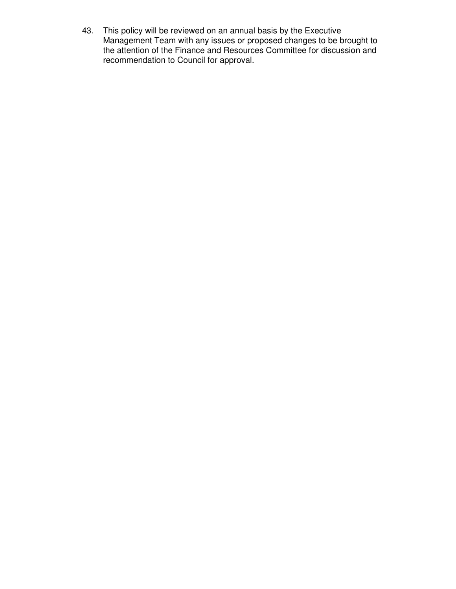43. This policy will be reviewed on an annual basis by the Executive Management Team with any issues or proposed changes to be brought to the attention of the Finance and Resources Committee for discussion and recommendation to Council for approval.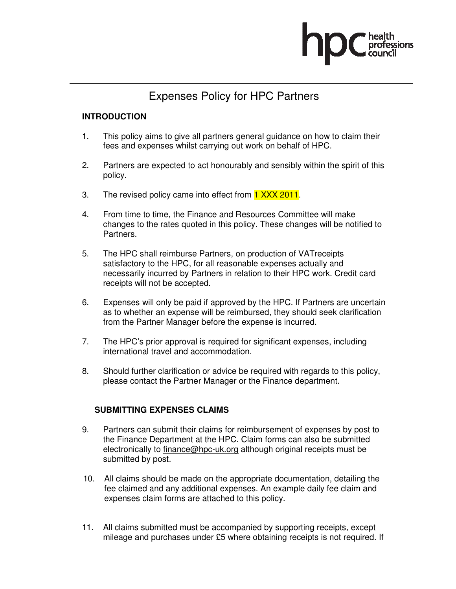

# Expenses Policy for HPC Partners

## **INTRODUCTION**

- 1. This policy aims to give all partners general guidance on how to claim their fees and expenses whilst carrying out work on behalf of HPC.
- 2. Partners are expected to act honourably and sensibly within the spirit of this policy.
- 3. The revised policy came into effect from 1 XXX 2011.
- 4. From time to time, the Finance and Resources Committee will make changes to the rates quoted in this policy. These changes will be notified to Partners.
- 5. The HPC shall reimburse Partners, on production of VATreceipts satisfactory to the HPC, for all reasonable expenses actually and necessarily incurred by Partners in relation to their HPC work. Credit card receipts will not be accepted.
- 6. Expenses will only be paid if approved by the HPC. If Partners are uncertain as to whether an expense will be reimbursed, they should seek clarification from the Partner Manager before the expense is incurred.
- 7. The HPC's prior approval is required for significant expenses, including international travel and accommodation.
- 8. Should further clarification or advice be required with regards to this policy, please contact the Partner Manager or the Finance department.

### **SUBMITTING EXPENSES CLAIMS**

- 9. Partners can submit their claims for reimbursement of expenses by post to the Finance Department at the HPC. Claim forms can also be submitted electronically to finance@hpc-uk.org although original receipts must be submitted by post.
- 10. All claims should be made on the appropriate documentation, detailing the fee claimed and any additional expenses. An example daily fee claim and expenses claim forms are attached to this policy.
- 11. All claims submitted must be accompanied by supporting receipts, except mileage and purchases under £5 where obtaining receipts is not required. If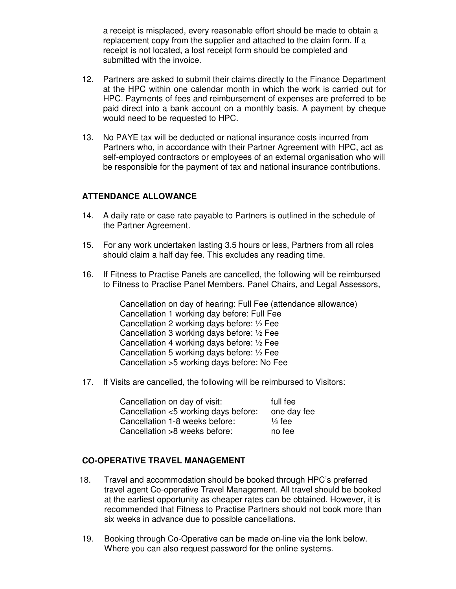a receipt is misplaced, every reasonable effort should be made to obtain a replacement copy from the supplier and attached to the claim form. If a receipt is not located, a lost receipt form should be completed and submitted with the invoice.

- 12. Partners are asked to submit their claims directly to the Finance Department at the HPC within one calendar month in which the work is carried out for HPC. Payments of fees and reimbursement of expenses are preferred to be paid direct into a bank account on a monthly basis. A payment by cheque would need to be requested to HPC.
- 13. No PAYE tax will be deducted or national insurance costs incurred from Partners who, in accordance with their Partner Agreement with HPC, act as self-employed contractors or employees of an external organisation who will be responsible for the payment of tax and national insurance contributions.

# **ATTENDANCE ALLOWANCE**

- 14. A daily rate or case rate payable to Partners is outlined in the schedule of the Partner Agreement.
- 15. For any work undertaken lasting 3.5 hours or less, Partners from all roles should claim a half day fee. This excludes any reading time.
- 16. If Fitness to Practise Panels are cancelled, the following will be reimbursed to Fitness to Practise Panel Members, Panel Chairs, and Legal Assessors,

Cancellation on day of hearing: Full Fee (attendance allowance) Cancellation 1 working day before: Full Fee Cancellation 2 working days before: ½ Fee Cancellation 3 working days before: ½ Fee Cancellation 4 working days before: ½ Fee Cancellation 5 working days before: ½ Fee Cancellation >5 working days before: No Fee

17. If Visits are cancelled, the following will be reimbursed to Visitors:

| Cancellation on day of visit:        | full fee          |
|--------------------------------------|-------------------|
| Cancellation <5 working days before: | one day fee       |
| Cancellation 1-8 weeks before:       | $\frac{1}{2}$ fee |
| Cancellation >8 weeks before:        | no fee            |

### **CO-OPERATIVE TRAVEL MANAGEMENT**

- 18. Travel and accommodation should be booked through HPC's preferred travel agent Co-operative Travel Management. All travel should be booked at the earliest opportunity as cheaper rates can be obtained. However, it is recommended that Fitness to Practise Partners should not book more than six weeks in advance due to possible cancellations.
- 19. Booking through Co-Operative can be made on-line via the lonk below. Where you can also request password for the online systems.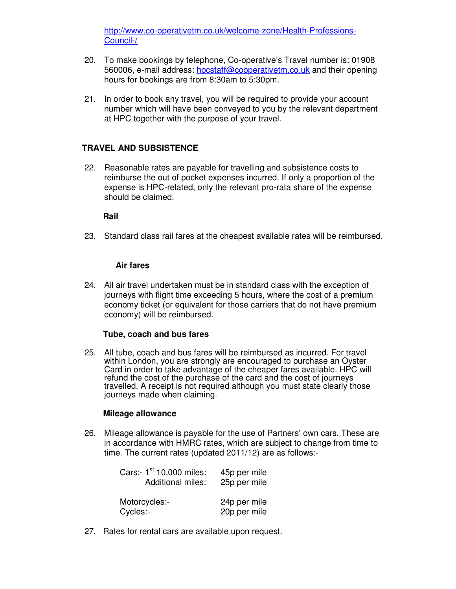http://www.co-operativetm.co.uk/welcome-zone/Health-Professions-Council-/

- 20. To make bookings by telephone, Co-operative's Travel number is: 01908 560006, e-mail address: hpcstaff@cooperativetm.co.uk and their opening hours for bookings are from 8:30am to 5:30pm.
- 21. In order to book any travel, you will be required to provide your account number which will have been conveyed to you by the relevant department at HPC together with the purpose of your travel.

### **TRAVEL AND SUBSISTENCE**

22. Reasonable rates are payable for travelling and subsistence costs to reimburse the out of pocket expenses incurred. If only a proportion of the expense is HPC-related, only the relevant pro-rata share of the expense should be claimed.

#### **Rail**

23. Standard class rail fares at the cheapest available rates will be reimbursed.

#### **Air fares**

24. All air travel undertaken must be in standard class with the exception of journeys with flight time exceeding 5 hours, where the cost of a premium economy ticket (or equivalent for those carriers that do not have premium economy) will be reimbursed.

#### **Tube, coach and bus fares**

25. All tube, coach and bus fares will be reimbursed as incurred. For travel within London, you are strongly are encouraged to purchase an Oyster Card in order to take advantage of the cheaper fares available. HPC will refund the cost of the purchase of the card and the cost of journeys travelled. A receipt is not required although you must state clearly those journeys made when claiming.

#### **Mileage allowance**

26. Mileage allowance is payable for the use of Partners' own cars. These are in accordance with HMRC rates, which are subject to change from time to time. The current rates (updated 2011/12) are as follows:-

| Cars:- 1 <sup>st</sup> 10,000 miles:<br><b>Additional miles:</b> | 45p per mile<br>25p per mile |
|------------------------------------------------------------------|------------------------------|
| Motorcycles:-<br>Cycles:-                                        | 24p per mile<br>20p per mile |

27. Rates for rental cars are available upon request.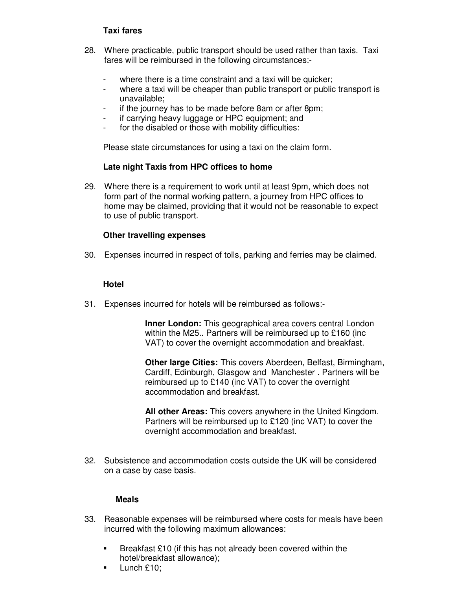## **Taxi fares**

- 28. Where practicable, public transport should be used rather than taxis. Taxi fares will be reimbursed in the following circumstances:-
	- where there is a time constraint and a taxi will be quicker;
	- where a taxi will be cheaper than public transport or public transport is unavailable;
	- if the journey has to be made before 8am or after 8pm;
	- if carrying heavy luggage or HPC equipment; and
	- for the disabled or those with mobility difficulties:

Please state circumstances for using a taxi on the claim form.

#### **Late night Taxis from HPC offices to home**

29. Where there is a requirement to work until at least 9pm, which does not form part of the normal working pattern, a journey from HPC offices to home may be claimed, providing that it would not be reasonable to expect to use of public transport.

#### **Other travelling expenses**

30. Expenses incurred in respect of tolls, parking and ferries may be claimed.

#### **Hotel**

31. Expenses incurred for hotels will be reimbursed as follows:-

**Inner London:** This geographical area covers central London within the M25.. Partners will be reimbursed up to £160 (inc VAT) to cover the overnight accommodation and breakfast.

**Other large Cities:** This covers Aberdeen, Belfast, Birmingham, Cardiff, Edinburgh, Glasgow and Manchester . Partners will be reimbursed up to £140 (inc VAT) to cover the overnight accommodation and breakfast.

**All other Areas:** This covers anywhere in the United Kingdom. Partners will be reimbursed up to £120 (inc VAT) to cover the overnight accommodation and breakfast.

32. Subsistence and accommodation costs outside the UK will be considered on a case by case basis.

#### **Meals**

- 33. Reasonable expenses will be reimbursed where costs for meals have been incurred with the following maximum allowances:
	- **Breakfast £10** (if this has not already been covered within the hotel/breakfast allowance);
	- Lunch £10;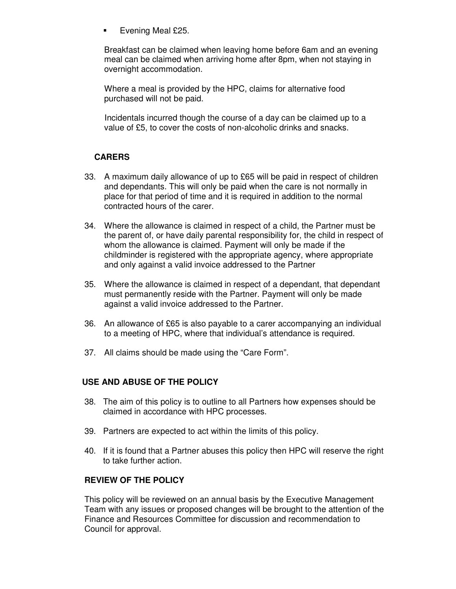Evening Meal £25.

Breakfast can be claimed when leaving home before 6am and an evening meal can be claimed when arriving home after 8pm, when not staying in overnight accommodation.

Where a meal is provided by the HPC, claims for alternative food purchased will not be paid.

Incidentals incurred though the course of a day can be claimed up to a value of £5, to cover the costs of non-alcoholic drinks and snacks.

# **CARERS**

- 33. A maximum daily allowance of up to £65 will be paid in respect of children and dependants. This will only be paid when the care is not normally in place for that period of time and it is required in addition to the normal contracted hours of the carer.
- 34. Where the allowance is claimed in respect of a child, the Partner must be the parent of, or have daily parental responsibility for, the child in respect of whom the allowance is claimed. Payment will only be made if the childminder is registered with the appropriate agency, where appropriate and only against a valid invoice addressed to the Partner
- 35. Where the allowance is claimed in respect of a dependant, that dependant must permanently reside with the Partner. Payment will only be made against a valid invoice addressed to the Partner.
- 36. An allowance of £65 is also payable to a carer accompanying an individual to a meeting of HPC, where that individual's attendance is required.
- 37. All claims should be made using the "Care Form".

### **USE AND ABUSE OF THE POLICY**

- 38. The aim of this policy is to outline to all Partners how expenses should be claimed in accordance with HPC processes.
- 39. Partners are expected to act within the limits of this policy.
- 40. If it is found that a Partner abuses this policy then HPC will reserve the right to take further action.

# **REVIEW OF THE POLICY**

This policy will be reviewed on an annual basis by the Executive Management Team with any issues or proposed changes will be brought to the attention of the Finance and Resources Committee for discussion and recommendation to Council for approval.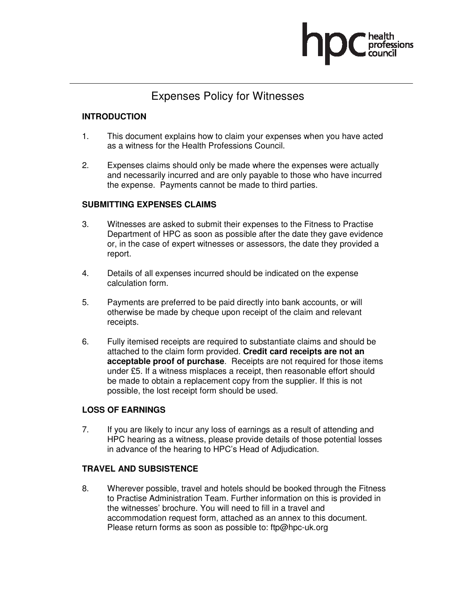

# Expenses Policy for Witnesses

## **INTRODUCTION**

- 1. This document explains how to claim your expenses when you have acted as a witness for the Health Professions Council.
- 2. Expenses claims should only be made where the expenses were actually and necessarily incurred and are only payable to those who have incurred the expense. Payments cannot be made to third parties.

## **SUBMITTING EXPENSES CLAIMS**

- 3. Witnesses are asked to submit their expenses to the Fitness to Practise Department of HPC as soon as possible after the date they gave evidence or, in the case of expert witnesses or assessors, the date they provided a report.
- 4. Details of all expenses incurred should be indicated on the expense calculation form.
- 5. Payments are preferred to be paid directly into bank accounts, or will otherwise be made by cheque upon receipt of the claim and relevant receipts.
- 6. Fully itemised receipts are required to substantiate claims and should be attached to the claim form provided. **Credit card receipts are not an acceptable proof of purchase**. Receipts are not required for those items under £5. If a witness misplaces a receipt, then reasonable effort should be made to obtain a replacement copy from the supplier. If this is not possible, the lost receipt form should be used.

### **LOSS OF EARNINGS**

7. If you are likely to incur any loss of earnings as a result of attending and HPC hearing as a witness, please provide details of those potential losses in advance of the hearing to HPC's Head of Adjudication.

### **TRAVEL AND SUBSISTENCE**

8. Wherever possible, travel and hotels should be booked through the Fitness to Practise Administration Team. Further information on this is provided in the witnesses' brochure. You will need to fill in a travel and accommodation request form, attached as an annex to this document. Please return forms as soon as possible to: ftp@hpc-uk.org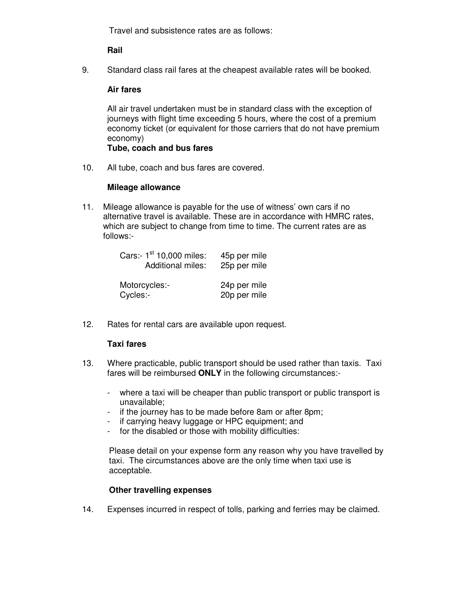Travel and subsistence rates are as follows:

**Rail** 

9. Standard class rail fares at the cheapest available rates will be booked.

## **Air fares**

All air travel undertaken must be in standard class with the exception of journeys with flight time exceeding 5 hours, where the cost of a premium economy ticket (or equivalent for those carriers that do not have premium economy)

### **Tube, coach and bus fares**

10. All tube, coach and bus fares are covered.

## **Mileage allowance**

11. Mileage allowance is payable for the use of witness' own cars if no alternative travel is available. These are in accordance with HMRC rates, which are subject to change from time to time. The current rates are as follows:-

|          | Cars:- 1 <sup>st</sup> 10,000 miles:<br><b>Additional miles:</b> | 45p per mile<br>25p per mile |
|----------|------------------------------------------------------------------|------------------------------|
| Cycles:- | Motorcycles:-                                                    | 24p per mile<br>20p per mile |

12. Rates for rental cars are available upon request.

### **Taxi fares**

- 13. Where practicable, public transport should be used rather than taxis. Taxi fares will be reimbursed **ONLY** in the following circumstances:-
	- where a taxi will be cheaper than public transport or public transport is unavailable;
	- if the journey has to be made before 8am or after 8pm;
	- if carrying heavy luggage or HPC equipment; and
	- for the disabled or those with mobility difficulties:

Please detail on your expense form any reason why you have travelled by taxi. The circumstances above are the only time when taxi use is acceptable.

# **Other travelling expenses**

14. Expenses incurred in respect of tolls, parking and ferries may be claimed.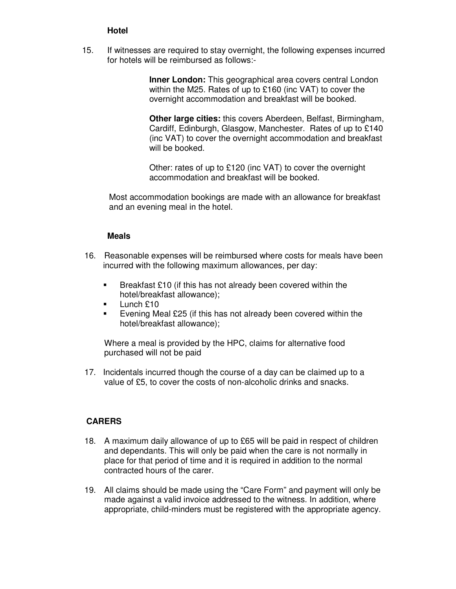## **Hotel**

15. If witnesses are required to stay overnight, the following expenses incurred for hotels will be reimbursed as follows:-

> **Inner London:** This geographical area covers central London within the M25. Rates of up to £160 (inc VAT) to cover the overnight accommodation and breakfast will be booked.

**Other large cities:** this covers Aberdeen, Belfast, Birmingham, Cardiff, Edinburgh, Glasgow, Manchester. Rates of up to £140 (inc VAT) to cover the overnight accommodation and breakfast will be booked.

Other: rates of up to £120 (inc VAT) to cover the overnight accommodation and breakfast will be booked.

Most accommodation bookings are made with an allowance for breakfast and an evening meal in the hotel.

#### **Meals**

- 16. Reasonable expenses will be reimbursed where costs for meals have been incurred with the following maximum allowances, per day:
	- Breakfast £10 (if this has not already been covered within the hotel/breakfast allowance);
	- $\blacksquare$  Lunch £10
	- Evening Meal £25 (if this has not already been covered within the hotel/breakfast allowance);

Where a meal is provided by the HPC, claims for alternative food purchased will not be paid

17. Incidentals incurred though the course of a day can be claimed up to a value of £5, to cover the costs of non-alcoholic drinks and snacks.

### **CARERS**

- 18. A maximum daily allowance of up to £65 will be paid in respect of children and dependants. This will only be paid when the care is not normally in place for that period of time and it is required in addition to the normal contracted hours of the carer.
- 19. All claims should be made using the "Care Form" and payment will only be made against a valid invoice addressed to the witness. In addition, where appropriate, child-minders must be registered with the appropriate agency.